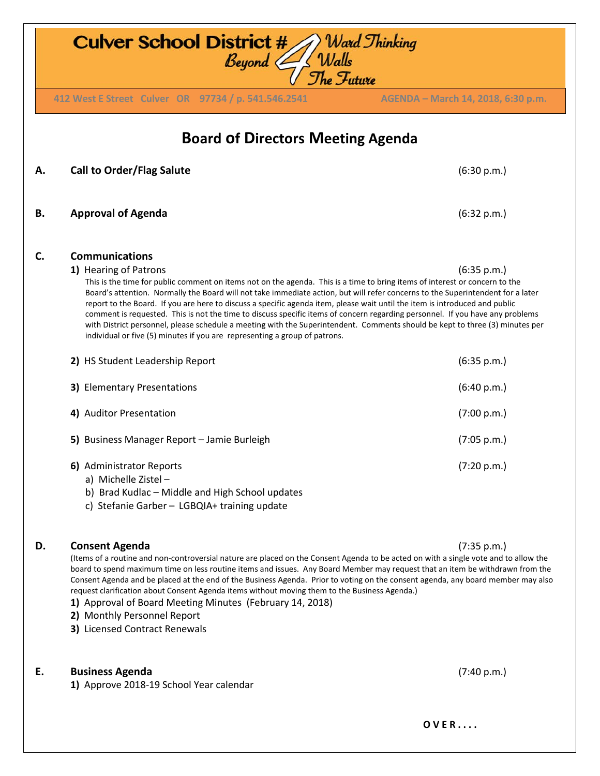| <b>Culver School District #</b><br>) Ward Thinking<br>Walls<br>The Future<br>Beyond ( |                                                                                                                                                                                                                                                                                                                                                                                                                                                                                                                                                                                                                                                                                                                                                                                                |                                    |  |
|---------------------------------------------------------------------------------------|------------------------------------------------------------------------------------------------------------------------------------------------------------------------------------------------------------------------------------------------------------------------------------------------------------------------------------------------------------------------------------------------------------------------------------------------------------------------------------------------------------------------------------------------------------------------------------------------------------------------------------------------------------------------------------------------------------------------------------------------------------------------------------------------|------------------------------------|--|
|                                                                                       | 412 West E Street Culver OR 97734 / p. 541.546.2541                                                                                                                                                                                                                                                                                                                                                                                                                                                                                                                                                                                                                                                                                                                                            | AGENDA - March 14, 2018, 6:30 p.m. |  |
| <b>Board of Directors Meeting Agenda</b>                                              |                                                                                                                                                                                                                                                                                                                                                                                                                                                                                                                                                                                                                                                                                                                                                                                                |                                    |  |
| А.                                                                                    | <b>Call to Order/Flag Salute</b>                                                                                                                                                                                                                                                                                                                                                                                                                                                                                                                                                                                                                                                                                                                                                               | (6:30 p.m.)                        |  |
| В.                                                                                    | <b>Approval of Agenda</b>                                                                                                                                                                                                                                                                                                                                                                                                                                                                                                                                                                                                                                                                                                                                                                      | (6:32 p.m.)                        |  |
| C.                                                                                    | <b>Communications</b><br>1) Hearing of Patrons<br>This is the time for public comment on items not on the agenda. This is a time to bring items of interest or concern to the<br>Board's attention. Normally the Board will not take immediate action, but will refer concerns to the Superintendent for a later<br>report to the Board. If you are here to discuss a specific agenda item, please wait until the item is introduced and public<br>comment is requested. This is not the time to discuss specific items of concern regarding personnel. If you have any problems<br>with District personnel, please schedule a meeting with the Superintendent. Comments should be kept to three (3) minutes per<br>individual or five (5) minutes if you are representing a group of patrons. | (6:35 p.m.)                        |  |
|                                                                                       | 2) HS Student Leadership Report                                                                                                                                                                                                                                                                                                                                                                                                                                                                                                                                                                                                                                                                                                                                                                | (6:35 p.m.)                        |  |
|                                                                                       | 3) Elementary Presentations                                                                                                                                                                                                                                                                                                                                                                                                                                                                                                                                                                                                                                                                                                                                                                    | (6:40 p.m.)                        |  |
|                                                                                       | 4) Auditor Presentation                                                                                                                                                                                                                                                                                                                                                                                                                                                                                                                                                                                                                                                                                                                                                                        | (7:00 p.m.)                        |  |
|                                                                                       | 5) Business Manager Report - Jamie Burleigh                                                                                                                                                                                                                                                                                                                                                                                                                                                                                                                                                                                                                                                                                                                                                    | (7:05 p.m.)                        |  |
|                                                                                       | 6) Administrator Reports<br>a) Michelle Zistel-<br>b) Brad Kudlac - Middle and High School updates<br>c) Stefanie Garber - LGBQIA+ training update                                                                                                                                                                                                                                                                                                                                                                                                                                                                                                                                                                                                                                             | (7:20 p.m.)                        |  |
| D.                                                                                    | <b>Consent Agenda</b>                                                                                                                                                                                                                                                                                                                                                                                                                                                                                                                                                                                                                                                                                                                                                                          | (7:35 p.m.)                        |  |

(Items of a routine and non-controversial nature are placed on the Consent Agenda to be acted on with a single vote and to allow the board to spend maximum time on less routine items and issues. Any Board Member may request that an item be withdrawn from the Consent Agenda and be placed at the end of the Business Agenda. Prior to voting on the consent agenda, any board member may also request clarification about Consent Agenda items without moving them to the Business Agenda.)

- **1)** Approval of Board Meeting Minutes (February 14, 2018)
- **2)** Monthly Personnel Report
- **3)** Licensed Contract Renewals

## **E. Business Agenda** (7:40 p.m.)

**1)** Approve 2018-19 School Year calendar